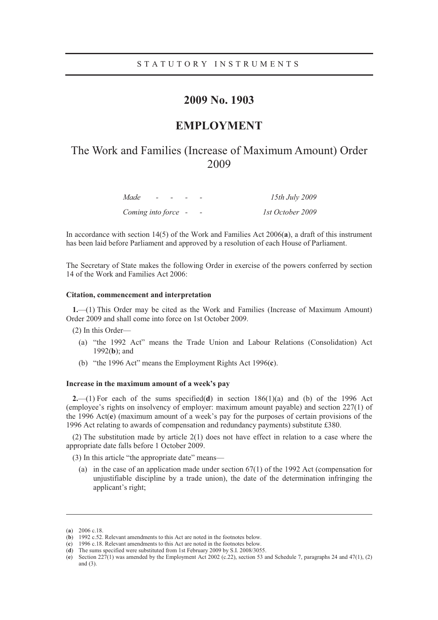### STATUTORY INSTRUMENTS

# **2009 No. 1903**

## **EMPLOYMENT**

# The Work and Families (Increase of Maximum Amount) Order 2009

| Made<br>$\overline{\phantom{0}}$ |  |                          | 15th July 2009   |
|----------------------------------|--|--------------------------|------------------|
| Coming into force -              |  | $\overline{\phantom{a}}$ | 1st October 2009 |

In accordance with section 14(5) of the Work and Families Act 2006(**a**), a draft of this instrument has been laid before Parliament and approved by a resolution of each House of Parliament.

The Secretary of State makes the following Order in exercise of the powers conferred by section 14 of the Work and Families Act 2006:

#### **Citation, commencement and interpretation**

**1.**—(1) This Order may be cited as the Work and Families (Increase of Maximum Amount) Order 2009 and shall come into force on 1st October 2009.

(2) In this Order—

- (a) "the 1992 Act" means the Trade Union and Labour Relations (Consolidation) Act 1992(**b**); and
- (b) "the 1996 Act" means the Employment Rights Act 1996(**c**).

#### **Increase in the maximum amount of a week's pay**

**2.**—(1) For each of the sums specified(**d**) in section 186(1)(a) and (b) of the 1996 Act (employee's rights on insolvency of employer: maximum amount payable) and section 227(1) of the 1996 Act(**e**) (maximum amount of a week's pay for the purposes of certain provisions of the 1996 Act relating to awards of compensation and redundancy payments) substitute £380.

(2) The substitution made by article 2(1) does not have effect in relation to a case where the appropriate date falls before 1 October 2009.

(3) In this article "the appropriate date" means—

(a) in the case of an application made under section  $67(1)$  of the 1992 Act (compensation for unjustifiable discipline by a trade union), the date of the determination infringing the applicant's right;

-

<sup>(</sup>**a**) 2006 c.18.

<sup>(</sup>**b**) 1992 c.52. Relevant amendments to this Act are noted in the footnotes below.

<sup>(</sup>**c**) 1996 c.18. Relevant amendments to this Act are noted in the footnotes below.

<sup>(</sup>**d**) The sums specified were substituted from 1st February 2009 by S.I. 2008/3055.

<sup>(</sup>**e**) Section 227(1) was amended by the Employment Act 2002 (c.22), section 53 and Schedule 7, paragraphs 24 and 47(1), (2) and (3).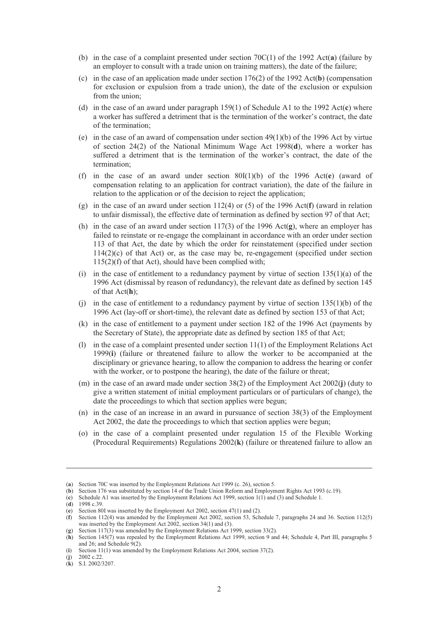- (b) in the case of a complaint presented under section 70C(1) of the 1992 Act(**a**) (failure by an employer to consult with a trade union on training matters), the date of the failure;
- (c) in the case of an application made under section 176(2) of the 1992 Act(**b**) (compensation for exclusion or expulsion from a trade union), the date of the exclusion or expulsion from the union;
- (d) in the case of an award under paragraph 159(1) of Schedule A1 to the 1992 Act(**c**) where a worker has suffered a detriment that is the termination of the worker's contract, the date of the termination;
- (e) in the case of an award of compensation under section 49(1)(b) of the 1996 Act by virtue of section 24(2) of the National Minimum Wage Act 1998(**d**), where a worker has suffered a detriment that is the termination of the worker's contract, the date of the termination;
- (f) in the case of an award under section 80I(1)(b) of the 1996 Act(**e**) (award of compensation relating to an application for contract variation), the date of the failure in relation to the application or of the decision to reject the application;
- (g) in the case of an award under section 112(4) or (5) of the 1996 Act(**f**) (award in relation to unfair dismissal), the effective date of termination as defined by section 97 of that Act;
- (h) in the case of an award under section 117(3) of the 1996 Act(**g**), where an employer has failed to reinstate or re-engage the complainant in accordance with an order under section 113 of that Act, the date by which the order for reinstatement (specified under section 114(2)(c) of that Act) or, as the case may be, re-engagement (specified under section 115(2)(f) of that Act), should have been complied with;
- (i) in the case of entitlement to a redundancy payment by virtue of section  $135(1)(a)$  of the 1996 Act (dismissal by reason of redundancy), the relevant date as defined by section 145 of that Act(**h**);
- (i) in the case of entitlement to a redundancy payment by virtue of section  $135(1)(b)$  of the 1996 Act (lay-off or short-time), the relevant date as defined by section 153 of that Act;
- (k) in the case of entitlement to a payment under section 182 of the 1996 Act (payments by the Secretary of State), the appropriate date as defined by section 185 of that Act;
- (l) in the case of a complaint presented under section 11(1) of the Employment Relations Act 1999(**i**) (failure or threatened failure to allow the worker to be accompanied at the disciplinary or grievance hearing, to allow the companion to address the hearing or confer with the worker, or to postpone the hearing), the date of the failure or threat;
- (m) in the case of an award made under section 38(2) of the Employment Act 2002(**j**) (duty to give a written statement of initial employment particulars or of particulars of change), the date the proceedings to which that section applies were begun;
- (n) in the case of an increase in an award in pursuance of section 38(3) of the Employment Act 2002, the date the proceedings to which that section applies were begun;
- (o) in the case of a complaint presented under regulation 15 of the Flexible Working (Procedural Requirements) Regulations 2002(**k**) (failure or threatened failure to allow an

-

(**k**) S.I. 2002/3207.

<sup>(</sup>**a**) Section 70C was inserted by the Employment Relations Act 1999 (c. 26), section 5.

<sup>(</sup>**b**) Section 176 was substituted by section 14 of the Trade Union Reform and Employment Rights Act 1993 (c.19).

<sup>(</sup>**c**) Schedule A1 was inserted by the Employment Relations Act 1999, section 1(1) and (3) and Schedule 1.

<sup>(</sup>**d**) 1998 c.39.

<sup>(</sup>**e**) Section 80I was inserted by the Employment Act 2002, section 47(1) and (2).

<sup>(</sup>**f**) Section 112(4) was amended by the Employment Act 2002, section 53, Schedule 7, paragraphs 24 and 36. Section 112(5) was inserted by the Employment Act 2002, section 34(1) and (3).

<sup>(</sup>**g**) Section 117(3) was amended by the Employment Relations Act 1999, section 33(2).

<sup>(</sup>**h**) Section 145(7) was repealed by the Employment Relations Act 1999, section 9 and 44; Schedule 4, Part III, paragraphs 5 and 26; and Schedule 9(2).

<sup>(</sup>**i**) Section 11(1) was amended by the Employment Relations Act 2004, section 37(2). (**j**) 2002 c.22.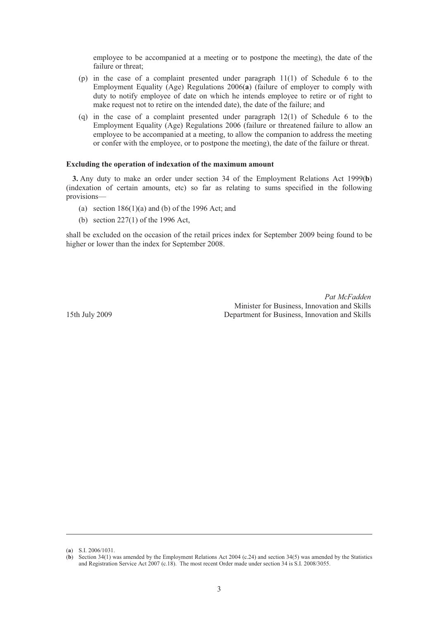employee to be accompanied at a meeting or to postpone the meeting), the date of the failure or threat;

- (p) in the case of a complaint presented under paragraph 11(1) of Schedule 6 to the Employment Equality (Age) Regulations 2006(**a**) (failure of employer to comply with duty to notify employee of date on which he intends employee to retire or of right to make request not to retire on the intended date), the date of the failure; and
- (q) in the case of a complaint presented under paragraph 12(1) of Schedule 6 to the Employment Equality (Age) Regulations 2006 (failure or threatened failure to allow an employee to be accompanied at a meeting, to allow the companion to address the meeting or confer with the employee, or to postpone the meeting), the date of the failure or threat.

#### **Excluding the operation of indexation of the maximum amount**

**3.** Any duty to make an order under section 34 of the Employment Relations Act 1999(**b**) (indexation of certain amounts, etc) so far as relating to sums specified in the following provisions—

- (a) section  $186(1)(a)$  and (b) of the 1996 Act; and
- (b) section 227(1) of the 1996 Act,

shall be excluded on the occasion of the retail prices index for September 2009 being found to be higher or lower than the index for September 2008.

*Pat McFadden* Minister for Business, Innovation and Skills 15th July 2009 Department for Business, Innovation and Skills

-

<sup>(</sup>**a**) S.I. 2006/1031.

<sup>(</sup>**b**) Section 34(1) was amended by the Employment Relations Act 2004 (c.24) and section 34(5) was amended by the Statistics and Registration Service Act 2007 (c.18). The most recent Order made under section 34 is S.I. 2008/3055.